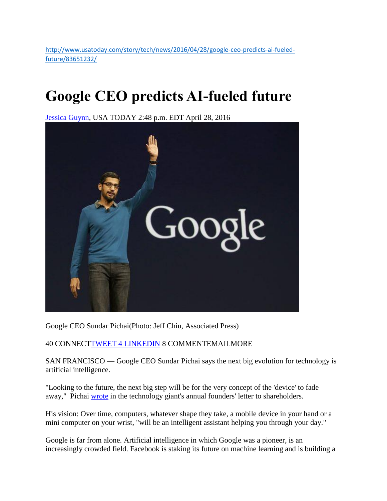[http://www.usatoday.com/story/tech/news/2016/04/28/google-ceo-predicts-ai-fueled](http://www.usatoday.com/story/tech/news/2016/04/28/google-ceo-predicts-ai-fueled-future/83651232/)[future/83651232/](http://www.usatoday.com/story/tech/news/2016/04/28/google-ceo-predicts-ai-fueled-future/83651232/)

## **Google CEO predicts AI-fueled future**

[Jessica Guynn,](http://www.usatoday.com/staff/21749/jessica-guynn/) USA TODAY 2:48 p.m. EDT April 28, 2016



Google CEO Sundar Pichai(Photo: Jeff Chiu, Associated Press)

40 CONNEC[TTWEET](https://twitter.com/intent/tweet?url=http%3A//usat.ly/26xELI3&text=Google%20CEO%20predicts%20AI-fueled%20future&via=usatoday) [4 LINKEDIN](https://twitter.com/intent/tweet?url=http%3A//usat.ly/26xELI3&text=Google%20CEO%20predicts%20AI-fueled%20future&via=usatoday) 8 COMMENTEMAILMORE

SAN FRANCISCO — Google CEO Sundar Pichai says the next big evolution for technology is artificial intelligence.

"Looking to the future, the next big step will be for the very concept of the 'device' to fade away," Pichai [wrote](https://googleblog.blogspot.com/2016/04/this-years-founders-letter.html) in the technology giant's annual founders' letter to shareholders.

His vision: Over time, computers, whatever shape they take, a mobile device in your hand or a mini computer on your wrist, "will be an intelligent assistant helping you through your day."

Google is far from alone. Artificial intelligence in which Google was a pioneer, is an increasingly crowded field. Facebook is staking its future on machine learning and is building a